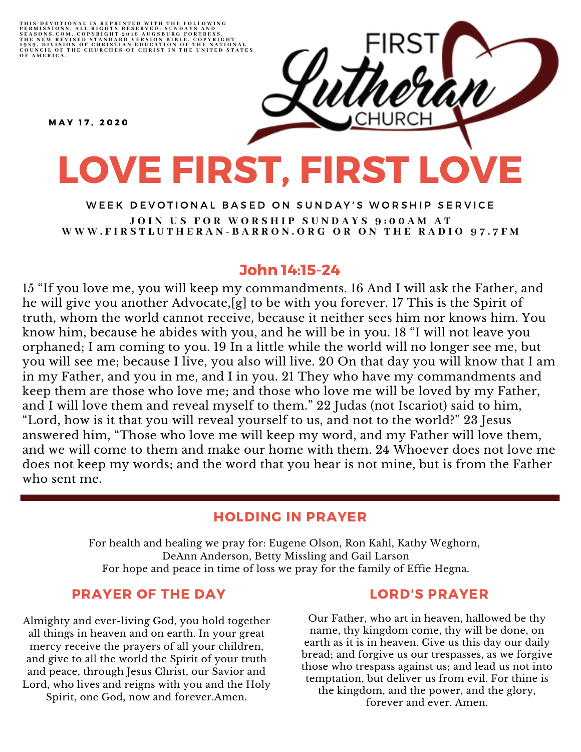THIS DEVOTIONAL IS REPRINTED WITH THE FOLLOWING<br>PERMISSIONS, ALL RIGHTS RESERVED: SUNDAYS AND<br>SEASONS.COM. COPYRIGHT 2016 AUGSBURG FORTRESS.<br>THE NEW REVISED STANDARD VERSION BIBLE, COPYRIGHT<br>1959, DIVISION OF CHRISTIAN EDU

MAY 17, 2020

# LOVE FIRST, FIRST LOVE

WEEK DEVOTIONAL BASED ON SUNDAY'S WORSHIP SERVICE JOIN US FOR WORSHIP SUNDAYS 9:00AM AT WWW.FIRSTLUTHERAN-BARRON.ORG OR ON THE RADIO 97.7FM

# John 14:15-24

15 "If you love me, you will keep my commandments. 16 And I will ask the Father, and he will give you another Advocate,[g] to be with you forever. 17 This is the Spirit of truth, whom the world cannot receive, because it neither sees him nor knows him. You know him, because he abides with you, and he will be in you. 18 "I will not leave you orphaned; I am coming to you. 19 In a little while the world will no longer see me, but you will see me; because I live, you also will live. 20 On that day you will know that I am in my Father, and you in me, and I in you. 21 They who have my commandments and keep them are those who love me; and those who love me will be loved by my Father, and I will love them and reveal myself to them." 22 Judas (not Iscariot) said to him, "Lord, how is it that you will reveal yourself to us, and not to the world?" 23 Jesus answered him, "Those who love me will keep my word, and my Father will love them, and we will come to them and make our home with them. 24 Whoever does not love me does not keep my words; and the word that you hear is not mine, but is from the Father who sent me.

### HOLDING IN PRAYER

For health and healing we pray for: Eugene Olson, Ron Kahl, Kathy Weghorn, DeAnn Anderson, Betty Missling and Gail Larson For hope and peace in time of loss we pray for the family of Effie Hegna.

## PRAYER OF THE DAY

Almighty and ever-living God, you hold together all things in heaven and on earth. In your great mercy receive the prayers of all your children, and give to all the world the Spirit of your truth and peace, through Jesus Christ, our Savior and Lord, who lives and reigns with you and the Holy Spirit, one God, now and forever.Amen.

#### LORD'S PRAYER

Our Father, who art in heaven, hallowed be thy name, thy kingdom come, thy will be done, on earth as it is in heaven. Give us this day our daily bread; and forgive us our trespasses, as we forgive those who trespass against us; and lead us not into temptation, but deliver us from evil. For thine is the kingdom, and the power, and the glory, forever and ever. Amen.